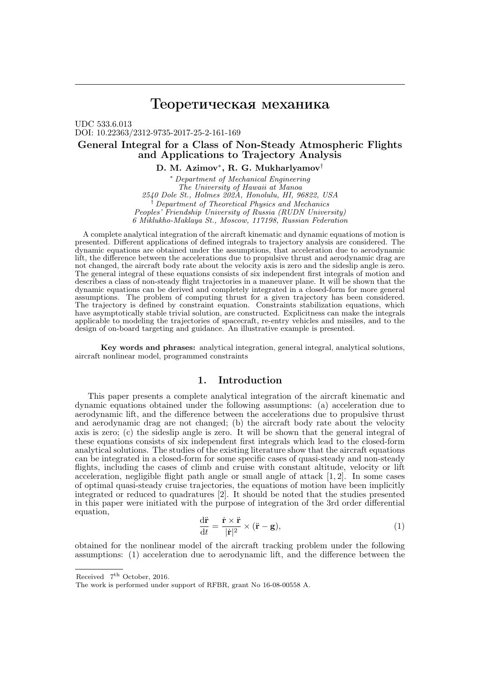# Теоретическая механика

UDC 533.6.013 DOI: 10.22363/2312-9735-2017-25-2-161-169

# General Integral for a Class of Non-Steady Atmospheric Flights and Applications to Trajectory Analysis

D. M. Azimov $^*,$  R. G. Mukharlyamov $^\dagger$ 

\* Department of Mechanical Engineering The University of Hawaii at Manoa 2540 Dole St., Holmes 202A, Honolulu, HI, 96822, USA † Department of Theoretical Physics and Mechanics Peoples' Friendship University of Russia (RUDN University) 6 Miklukho-Maklaya St., Moscow, 117198, Russian Federation

A complete analytical integration of the aircraft kinematic and dynamic equations of motion is presented. Different applications of defined integrals to trajectory analysis are considered. The dynamic equations are obtained under the assumptions, that acceleration due to aerodynamic lift, the difference between the accelerations due to propulsive thrust and aerodynamic drag are not changed, the aircraft body rate about the velocity axis is zero and the sideslip angle is zero. The general integral of these equations consists of six independent first integrals of motion and describes a class of non-steady flight trajectories in a maneuver plane. It will be shown that the dynamic equations can be derived and completely integrated in a closed-form for more general assumptions. The problem of computing thrust for a given trajectory has been considered. The trajectory is defined by constraint equation. Constraints stabilization equations, which have asymptotically stable trivial solution, are constructed. Explicitness can make the integrals applicable to modeling the trajectories of spacecraft, re-entry vehicles and missiles, and to the design of on-board targeting and guidance. An illustrative example is presented.

Key words and phrases: analytical integration, general integral, analytical solutions, aircraft nonlinear model, programmed constraints

### 1. Introduction

This paper presents a complete analytical integration of the aircraft kinematic and dynamic equations obtained under the following assumptions: (a) acceleration due to aerodynamic lift, and the difference between the accelerations due to propulsive thrust and aerodynamic drag are not changed; (b) the aircraft body rate about the velocity axis is zero; (c) the sideslip angle is zero. It will be shown that the general integral of these equations consists of six independent first integrals which lead to the closed-form analytical solutions. The studies of the existing literature show that the aircraft equations can be integrated in a closed-form for some specific cases of quasi-steady and non-steady flights, including the cases of climb and cruise with constant altitude, velocity or lift acceleration, negligible flight path angle or small angle of attack [1, 2]. In some cases of optimal quasi-steady cruise trajectories, the equations of motion have been implicitly integrated or reduced to quadratures [2]. It should be noted that the studies presented in this paper were initiated with the purpose of integration of the 3rd order differential equation,

$$
\frac{d\ddot{\mathbf{r}}}{dt} = \frac{\dot{\mathbf{r}} \times \ddot{\mathbf{r}}}{|\dot{\mathbf{r}}|^2} \times (\ddot{\mathbf{r}} - \mathbf{g}),\tag{1}
$$

obtained for the nonlinear model of the aircraft tracking problem under the following assumptions: (1) acceleration due to aerodynamic lift, and the difference between the

Received  $7<sup>th</sup>$  October, 2016.

The work is performed under support of RFBR, grant No 16-08-00558 A.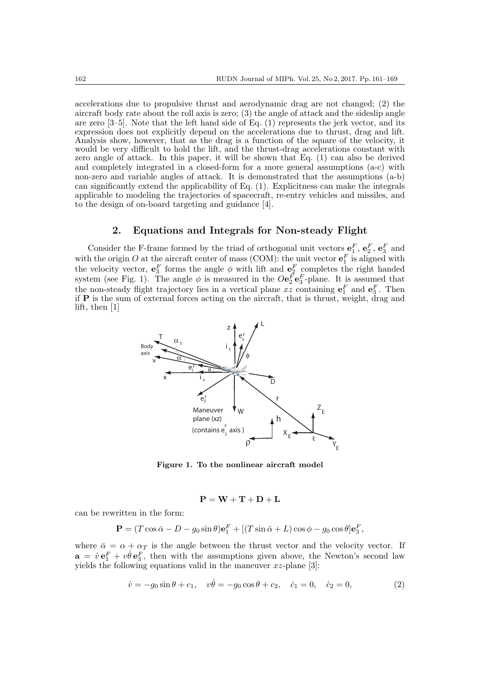accelerations due to propulsive thrust and aerodynamic drag are not changed; (2) the aircraft body rate about the roll axis is zero; (3) the angle of attack and the sideslip angle are zero  $[3-5]$ . Note that the left hand side of Eq.  $(1)$  represents the jerk vector, and its expression does not explicitly depend on the accelerations due to thrust, drag and lift. Analysis show, however, that as the drag is a function of the square of the velocity, it would be very difficult to hold the lift, and the thrust-drag accelerations constant with zero angle of attack. In this paper, it will be shown that Eq. (1) can also be derived and completely integrated in a closed-form for a more general assumptions (a-c) with non-zero and variable angles of attack. It is demonstrated that the assumptions (a-b) can significantly extend the applicability of Eq. (1). Explicitness can make the integrals applicable to modeling the trajectories of spacecraft, re-entry vehicles and missiles, and to the design of on-board targeting and guidance [4].

## 2. Equations and Integrals for Non-steady Flight

Consider the F-frame formed by the triad of orthogonal unit vectors  $\mathbf{e}_1^F$ ,  $\mathbf{e}_2^F$ ,  $\mathbf{e}_3^F$  and with the origin O at the aircraft center of mass (COM): the unit vector  $\mathbf{e}_1^F$  is aligned with the velocity vector,  $e_3^F$  forms the angle  $\phi$  with lift and  $e_2^F$  completes the right handed system (see Fig. 1). The angle  $\phi$  is measured in the  $O\mathbf{e}_2^F\mathbf{e}_3^F$ -plane. It is assumed that the non-steady flight trajectory lies in a vertical plane xz containing  $e_1^F$  and  $e_3^F$ . Then if P is the sum of external forces acting on the aircraft, that is thrust, weight, drag and lift, then [1]



Figure 1. To the nonlinear aircraft model

$$
\mathbf{P} = \mathbf{W} + \mathbf{T} + \mathbf{D} + \mathbf{L}
$$

can be rewritten in the form:

$$
\mathbf{P} = (T\cos\bar{\alpha} - D - g_0\sin\theta)\mathbf{e}_1^F + [(T\sin\bar{\alpha} + L)\cos\phi - g_0\cos\theta]\mathbf{e}_3^F,
$$

where  $\bar{\alpha} = \alpha + \alpha_T$  is the angle between the thrust vector and the velocity vector. If  $\mathbf{a} = \dot{v} \mathbf{e}_1^F + v \dot{\theta} \mathbf{e}_3^F$ , then with the assumptions given above, the Newton's second law yields the following equations valid in the maneuver  $xz$ -plane [3]:

$$
\dot{v} = -g_0 \sin \theta + c_1, \quad v\dot{\theta} = -g_0 \cos \theta + c_2, \quad \dot{c}_1 = 0, \quad \dot{c}_2 = 0,
$$
\n(2)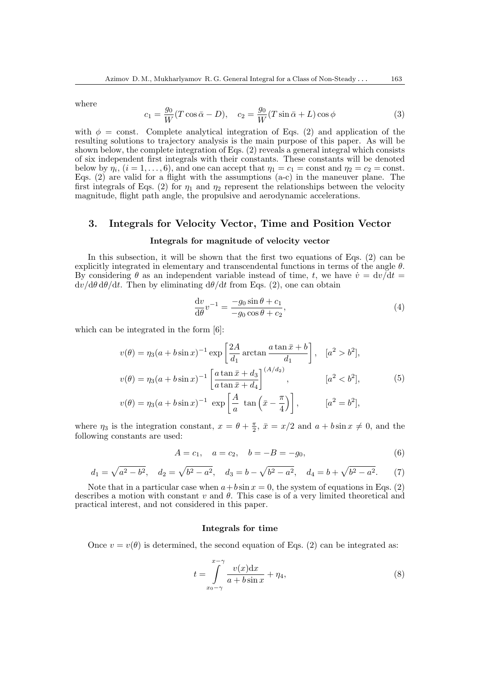where

$$
c_1 = \frac{g_0}{W}(T\cos\bar{\alpha} - D), \quad c_2 = \frac{g_0}{W}(T\sin\bar{\alpha} + L)\cos\phi \tag{3}
$$

with  $\phi = \text{const.}$  Complete analytical integration of Eqs. (2) and application of the resulting solutions to trajectory analysis is the main purpose of this paper. As will be shown below, the complete integration of Eqs. (2) reveals a general integral which consists of six independent first integrals with their constants. These constants will be denoted below by  $\eta_i$ ,  $(i = 1, \ldots, 6)$ , and one can accept that  $\eta_1 = c_1 = \text{const}$  and  $\eta_2 = c_2 = \text{const}$ . Eqs. (2) are valid for a flight with the assumptions (a-c) in the maneuver plane. The first integrals of Eqs. (2) for  $\eta_1$  and  $\eta_2$  represent the relationships between the velocity magnitude, flight path angle, the propulsive and aerodynamic accelerations.

## 3. Integrals for Velocity Vector, Time and Position Vector

#### Integrals for magnitude of velocity vector

In this subsection, it will be shown that the first two equations of Eqs. (2) can be explicitly integrated in elementary and transcendental functions in terms of the angle  $\theta$ . By considering  $\theta$  as an independent variable instead of time, t, we have  $\dot{v} = dv/dt$  $dv/d\theta d\theta/dt$ . Then by eliminating  $d\theta/dt$  from Eqs. (2), one can obtain

$$
\frac{\mathrm{d}v}{\mathrm{d}\theta}v^{-1} = \frac{-g_0 \sin \theta + c_1}{-g_0 \cos \theta + c_2},\tag{4}
$$

which can be integrated in the form [6]:

$$
v(\theta) = \eta_3(a + b\sin x)^{-1} \exp\left[\frac{2A}{d_1}\arctan\frac{a\tan\bar{x} + b}{d_1}\right], \quad [a^2 > b^2],
$$
  

$$
v(\theta) = \eta_3(a + b\sin x)^{-1} \left[\frac{a\tan\bar{x} + d_3}{a\tan\bar{x} + d_4}\right]^{(A/d_2)}, \qquad [a^2 < b^2],
$$
  

$$
v(\theta) = \eta_3(a + b\sin x)^{-1} \exp\left[\frac{A}{a}\tan\left(\bar{x} - \frac{\pi}{4}\right)\right], \qquad [a^2 = b^2],
$$
 (5)

where  $\eta_3$  is the integration constant,  $x = \theta + \frac{\pi}{2}$ ,  $\bar{x} = x/2$  and  $a + b \sin x \neq 0$ , and the following constants are used:

$$
A = c_1, \quad a = c_2, \quad b = -B = -g_0,\tag{6}
$$

$$
d_1 = \sqrt{a^2 - b^2}
$$
,  $d_2 = \sqrt{b^2 - a^2}$ ,  $d_3 = b - \sqrt{b^2 - a^2}$ ,  $d_4 = b + \sqrt{b^2 - a^2}$ . (7)

Note that in a particular case when  $a + b \sin x = 0$ , the system of equations in Eqs. (2) describes a motion with constant  $v$  and  $\theta$ . This case is of a very limited theoretical and practical interest, and not considered in this paper.

#### Integrals for time

Once  $v = v(\theta)$  is determined, the second equation of Eqs. (2) can be integrated as:

$$
t = \int_{x_0 - \gamma}^{x - \gamma} \frac{v(x) \mathrm{d}x}{a + b \sin x} + \eta_4,\tag{8}
$$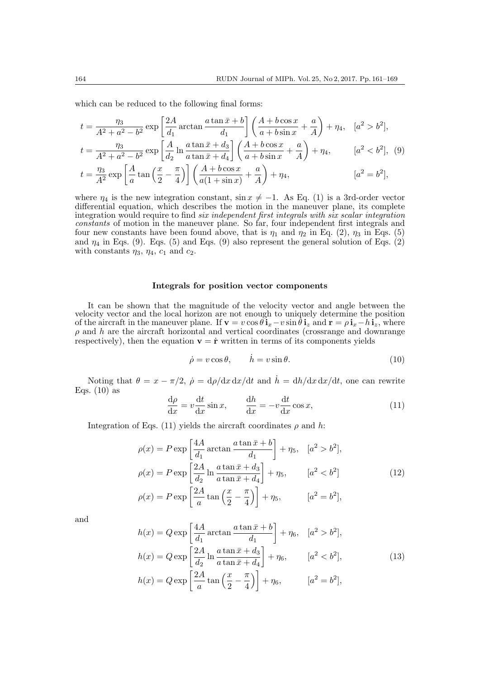which can be reduced to the following final forms:

$$
t = \frac{\eta_3}{A^2 + a^2 - b^2} \exp\left[\frac{2A}{d_1}\arctan\frac{a\tan\bar{x} + b}{d_1}\right] \left(\frac{A + b\cos x}{a + b\sin x} + \frac{a}{A}\right) + \eta_4, \quad [a^2 > b^2],
$$
  
\n
$$
t = \frac{\eta_3}{A^2 + a^2 - b^2} \exp\left[\frac{A}{d_2}\ln\frac{a\tan\bar{x} + d_3}{a\tan\bar{x} + d_4}\right] \left(\frac{A + b\cos x}{a + b\sin x} + \frac{a}{A}\right) + \eta_4, \quad [a^2 < b^2], \quad (9)
$$
  
\n
$$
t = \frac{\eta_3}{A^2} \exp\left[\frac{A}{a}\tan\left(\frac{x}{2} - \frac{\pi}{4}\right)\right] \left(\frac{A + b\cos x}{a(1 + \sin x)} + \frac{a}{A}\right) + \eta_4, \quad [a^2 = b^2],
$$

where  $\eta_4$  is the new integration constant,  $\sin x \neq -1$ . As Eq. (1) is a 3rd-order vector differential equation, which describes the motion in the maneuver plane, its complete integration would require to find six independent first integrals with six scalar integration constants of motion in the maneuver plane. So far, four independent first integrals and four new constants have been found above, that is  $\eta_1$  and  $\eta_2$  in Eq. (2),  $\eta_3$  in Eqs. (5) and  $\eta_4$  in Eqs. (9). Eqs. (5) and Eqs. (9) also represent the general solution of Eqs. (2) with constants  $\eta_3$ ,  $\eta_4$ ,  $c_1$  and  $c_2$ .

### Integrals for position vector components

It can be shown that the magnitude of the velocity vector and angle between the velocity vector and the local horizon are not enough to uniquely determine the position of the aircraft in the maneuver plane. If  $\mathbf{v} = v \cos \theta \mathbf{i}_x - v \sin \theta \mathbf{i}_z$  and  $\mathbf{r} = \rho \mathbf{i}_x - h \mathbf{i}_z$ , where  $\rho$  and  $h$  are the aircraft horizontal and vertical coordinates (crossrange and downrange respectively), then the equation  $\mathbf{v} = \dot{\mathbf{r}}$  written in terms of its components yields

$$
\dot{\rho} = v \cos \theta, \qquad \dot{h} = v \sin \theta. \tag{10}
$$

Noting that  $\theta = x - \pi/2$ ,  $\dot{\rho} = d\rho/dx dx/dt$  and  $\dot{h} = dh/dx dx/dt$ , one can rewrite Eqs.  $(10)$  as

$$
\frac{d\rho}{dx} = v \frac{dt}{dx} \sin x, \qquad \frac{dh}{dx} = -v \frac{dt}{dx} \cos x,
$$
\n(11)

Integration of Eqs. (11) yields the aircraft coordinates  $\rho$  and  $h$ :

$$
\rho(x) = P \exp\left[\frac{4A}{d_1}\arctan\frac{a\tan\bar{x} + b}{d_1}\right] + \eta_5, \quad [a^2 > b^2],
$$
  
\n
$$
\rho(x) = P \exp\left[\frac{2A}{d_2}\ln\frac{a\tan\bar{x} + d_3}{a\tan\bar{x} + d_4}\right] + \eta_5, \qquad [a^2 < b^2]
$$
  
\n
$$
\rho(x) = P \exp\left[\frac{2A}{a}\tan\left(\frac{x}{2} - \frac{\pi}{4}\right)\right] + \eta_5, \qquad [a^2 = b^2],
$$
\n(12)

and

$$
h(x) = Q \exp\left[\frac{4A}{d_1}\arctan\frac{a\tan\bar{x} + b}{d_1}\right] + \eta_6, \quad [a^2 > b^2],
$$
  
\n
$$
h(x) = Q \exp\left[\frac{2A}{d_2}\ln\frac{a\tan\bar{x} + d_3}{a\tan\bar{x} + d_4}\right] + \eta_6, \quad [a^2 < b^2],
$$
  
\n
$$
h(x) = Q \exp\left[\frac{2A}{a}\tan\left(\frac{x}{2} - \frac{\pi}{4}\right)\right] + \eta_6, \quad [a^2 = b^2],
$$
\n(13)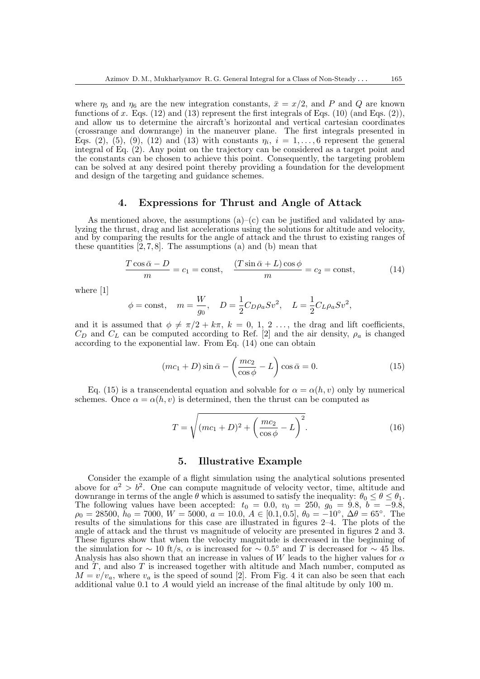where  $\eta_5$  and  $\eta_6$  are the new integration constants,  $\bar{x} = x/2$ , and P and Q are known functions of  $x$ . Eqs. (12) and (13) represent the first integrals of Eqs. (10) (and Eqs. (2)), and allow us to determine the aircraft's horizontal and vertical cartesian coordinates (crossrange and downrange) in the maneuver plane. The first integrals presented in Eqs. (2), (5), (9), (12) and (13) with constants  $\eta_i$ ,  $i = 1, \ldots, 6$  represent the general integral of Eq. (2). Any point on the trajectory can be considered as a target point and the constants can be chosen to achieve this point. Consequently, the targeting problem can be solved at any desired point thereby providing a foundation for the development and design of the targeting and guidance schemes.

#### 4. Expressions for Thrust and Angle of Attack

As mentioned above, the assumptions  $(a)$ – $(c)$  can be justified and validated by analyzing the thrust, drag and list accelerations using the solutions for altitude and velocity, and by comparing the results for the angle of attack and the thrust to existing ranges of these quantities  $[2, 7, 8]$ . The assumptions  $(a)$  and  $(b)$  mean that

$$
\frac{T\cos\bar{\alpha} - D}{m} = c_1 = \text{const}, \quad \frac{(T\sin\bar{\alpha} + L)\cos\phi}{m} = c_2 = \text{const}, \tag{14}
$$

where [1]

$$
\phi = \text{const}, \quad m = \frac{W}{g_0}, \quad D = \frac{1}{2}C_D \rho_a S v^2, \quad L = \frac{1}{2}C_L \rho_a S v^2,
$$

and it is assumed that  $\phi \neq \pi/2 + k\pi$ ,  $k = 0, 1, 2, \ldots$ , the drag and lift coefficients,  $C_D$  and  $C_L$  can be computed according to Ref. [2] and the air density,  $\rho_a$  is changed according to the exponential law. From Eq. (14) one can obtain

$$
(mc_1 + D)\sin\bar{\alpha} - \left(\frac{mc_2}{\cos\phi} - L\right)\cos\bar{\alpha} = 0.
$$
 (15)

Eq. (15) is a transcendental equation and solvable for  $\alpha = \alpha(h, v)$  only by numerical schemes. Once  $\alpha = \alpha(h, v)$  is determined, then the thrust can be computed as

$$
T = \sqrt{(mc_1 + D)^2 + \left(\frac{mc_2}{\cos\phi} - L\right)^2}.
$$
 (16)

### 5. Illustrative Example

Consider the example of a flight simulation using the analytical solutions presented above for  $a^2 > b^2$ . One can compute magnitude of velocity vector, time, altitude and downrange in terms of the angle  $\theta$  which is assumed to satisfy the inequality:  $\theta_0 \leq \theta \leq \theta_1$ . The following values have been accepted:  $t_0 = 0.0, v_0 = 250, g_0 = 9.8, b = -9.8,$  $\rho_0 = 28500, \ \breve{h}_0 = 7000, \ W = 5000, \ a = 10.0, \ A \in [0.1, 0.5], \ \theta_0 = -10^{\circ}, \ \Delta\theta = 65^{\circ}.$  The results of the simulations for this case are illustrated in figures 2–4. The plots of the angle of attack and the thrust vs magnitude of velocity are presented in figures 2 and 3. These figures show that when the velocity magnitude is decreased in the beginning of the simulation for  $\sim 10$  ft/s,  $\alpha$  is increased for  $\sim 0.5^{\circ}$  and T is decreased for  $\sim 45$  lbs. Analysis has also shown that an increase in values of W leads to the higher values for  $\alpha$ and  $T$ , and also  $T$  is increased together with altitude and Mach number, computed as  $M = v/v_a$ , where  $v_a$  is the speed of sound [2]. From Fig. 4 it can also be seen that each additional value  $0.1$  to  $A$  would yield an increase of the final altitude by only 100 m.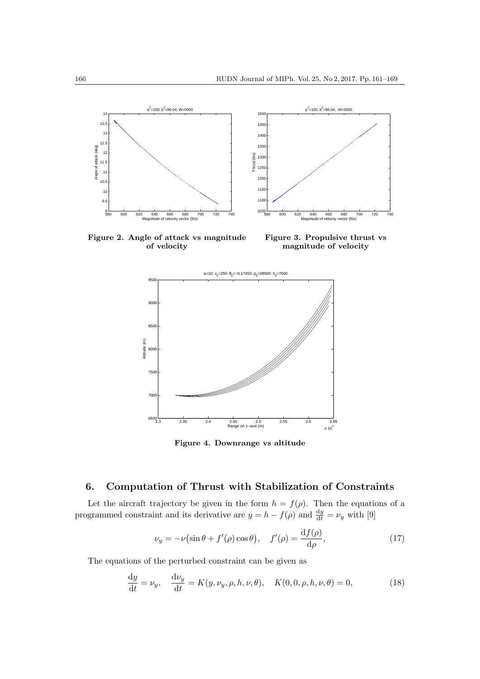

Figure 2. Angle of attack vs magnitude of velocity

Figure 3. Propulsive thrust vs magnitude of velocity



Figure 4. Downrange vs altitude

# 6. Computation of Thrust with Stabilization of Constraints

Let the aircraft trajectory be given in the form  $h = f(\rho)$ . Then the equations of a programmed constraint and its derivative are  $y = h - f(\rho)$  and  $\frac{dy}{dt} = \nu_y$  with [9]

$$
\nu_y = -\nu \left( \sin \theta + f'(\rho) \cos \theta \right), \quad f'(\rho) = \frac{\mathrm{d}f(\rho)}{\mathrm{d}\rho},\tag{17}
$$

The equations of the perturbed constraint can be given as

$$
\frac{dy}{dt} = \nu_y, \quad \frac{d\nu_y}{dt} = K(y, \nu_y, \rho, h, \nu, \theta), \quad K(0, 0, \rho, h, \nu, \theta) = 0,\tag{18}
$$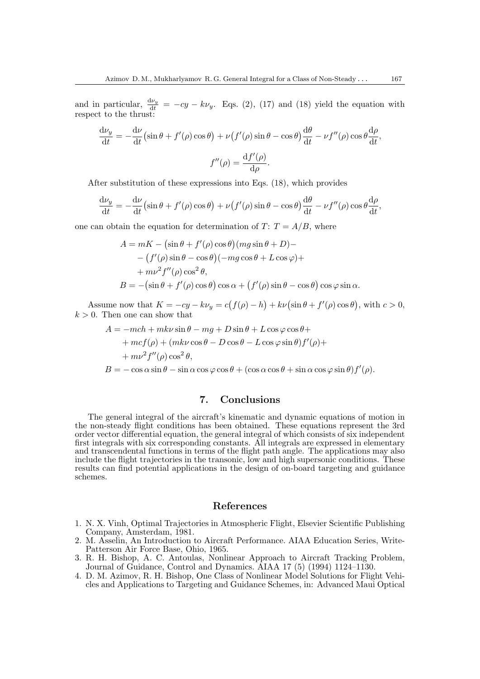and in particular,  $\frac{d\nu_y}{dt} = -cy - k\nu_y$ . Eqs. (2), (17) and (18) yield the equation with respect to the thrust:

$$
\frac{d\nu_y}{dt} = -\frac{d\nu}{dt} \left( \sin \theta + f'(\rho) \cos \theta \right) + \nu \left( f'(\rho) \sin \theta - \cos \theta \right) \frac{d\theta}{dt} - \nu f''(\rho) \cos \theta \frac{d\rho}{dt},
$$

$$
f''(\rho) = \frac{df'(\rho)}{d\rho}.
$$

After substitution of these expressions into Eqs. (18), which provides

$$
\frac{d\nu_y}{dt} = -\frac{d\nu}{dt} \left( \sin \theta + f'(\rho) \cos \theta \right) + \nu \left( f'(\rho) \sin \theta - \cos \theta \right) \frac{d\theta}{dt} - \nu f''(\rho) \cos \theta \frac{d\rho}{dt},
$$

one can obtain the equation for determination of  $T: T = A/B$ , where

$$
A = mK - (\sin \theta + f'(\rho) \cos \theta)(mg \sin \theta + D) -
$$
  
 
$$
- (f'(\rho) \sin \theta - \cos \theta)(-mg \cos \theta + L \cos \varphi) +
$$
  
 
$$
+ mv^2 f''(\rho) \cos^2 \theta,
$$
  
\n
$$
B = -(\sin \theta + f'(\rho) \cos \theta) \cos \alpha + (f'(\rho) \sin \theta - \cos \theta) \cos \varphi \sin \alpha.
$$

Assume now that  $K = -cy - k\nu_y = c(f(\rho) - h) + k\nu(\sin\theta + f'(\rho)\cos\theta)$ , with  $c > 0$ ,  $k > 0$ . Then one can show that

$$
A = -mch + mk\nu\sin\theta - mg + D\sin\theta + L\cos\varphi\cos\theta ++mcf(\rho) + (mk\nu\cos\theta - D\cos\theta - L\cos\varphi\sin\theta)f'(\rho)++mv^2f''(\rho)\cos^2\theta,B = -\cos\alpha\sin\theta - \sin\alpha\cos\varphi\cos\theta + (\cos\alpha\cos\theta + \sin\alpha\cos\varphi\sin\theta)f'(\rho).
$$

### 7. Conclusions

The general integral of the aircraft's kinematic and dynamic equations of motion in the non-steady flight conditions has been obtained. These equations represent the 3rd order vector differential equation, the general integral of which consists of six independent first integrals with six corresponding constants. All integrals are expressed in elementary and transcendental functions in terms of the flight path angle. The applications may also include the flight trajectories in the transonic, low and high supersonic conditions. These results can find potential applications in the design of on-board targeting and guidance schemes.

### References

- 1. N. X. Vinh, Optimal Trajectories in Atmospheric Flight, Elsevier Scientific Publishing Company, Amsterdam, 1981.
- 2. M. Asselin, An Introduction to Aircraft Performance. AIAA Education Series, Write-Patterson Air Force Base, Ohio, 1965.
- 3. R. H. Bishop, A. C. Antoulas, Nonlinear Approach to Aircraft Tracking Problem, Journal of Guidance, Control and Dynamics. AIAA 17 (5) (1994) 1124–1130.
- 4. D. M. Azimov, R. H. Bishop, One Class of Nonlinear Model Solutions for Flight Vehicles and Applications to Targeting and Guidance Schemes, in: Advanced Maui Optical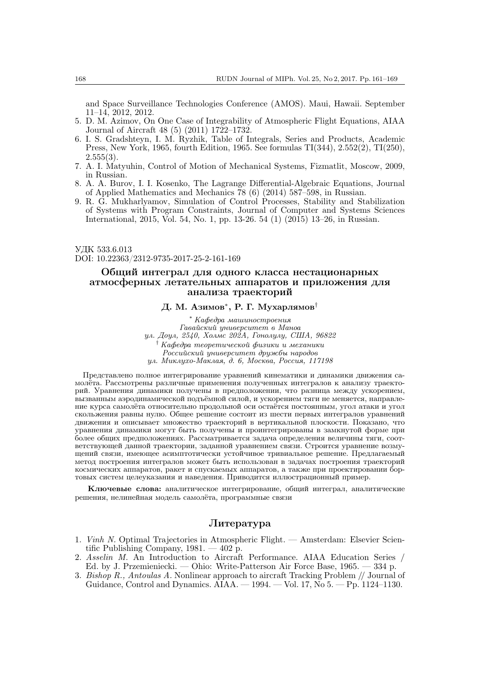and Space Surveillance Technologies Conference (AMOS). Maui, Hawaii. September 11–14, 2012, 2012.

- 5. D. M. Azimov, On One Case of Integrability of Atmospheric Flight Equations, AIAA Journal of Aircraft 48 (5) (2011) 1722–1732.
- 6. I. S. Gradshteyn, I. M. Ryzhik, Table of Integrals, Series and Products, Academic Press, New York, 1965, fourth Edition, 1965. See formulas TI(344), 2.552(2), TI(250),  $2.555(3)$ .
- 7. A. I. Matyuhin, Control of Motion of Mechanical Systems, Fizmatlit, Moscow, 2009, in Russian.
- 8. A. A. Burov, I. I. Kosenko, The Lagrange Differential-Algebraic Equations, Journal of Applied Mathematics and Mechanics 78 (6) (2014) 587–598, in Russian.
- 9. R. G. Mukharlyamov, Simulation of Control Processes, Stability and Stabilization of Systems with Program Constraints, Journal of Computer and Systems Sciences International, 2015, Vol. 54, No. 1, pp. 13-26. 54 (1) (2015) 13–26, in Russian.

УДК 533.6.013 DOI: 10.22363/2312-9735-2017-25-2-161-169

## Общий интеграл для одного класса нестационарных атмосферных летательных аппаратов и приложения для анализа траекторий

## Д. М. Азимов\* , Р. Г. Мухарлямов†

\* Кафедра машиностроения Гавайский университет в Маноа ул. Доул, 2540, Холмс 202A, Гонолулу, США, 96822 † Кафедра теоретической физики и механики Российский университет дружбы народов ул. Миклухо-Маклая, д. 6, Москва, Россия, 117198

Представлено полное интегрирование уравнений кинематики и динамики движения самолёта. Рассмотрены различные применения полученных интегралов к анализу траекторий. Уравнения динамики получены в предположении, что разница между ускорением, вызванным аэродинамической подъёмной силой, и ускорением тяги не меняется, направление курса самолёта относительно продольной оси остаётся постоянным, угол атаки и угол скольжения равны нулю. Общее решение состоит из шести первых интегралов уравнений движения и описывает множество траекторий в вертикальной плоскости. Показано, что уравнения динамики могут быть получены и проинтегрированы в замкнутой форме при более общих предположениях. Рассматривается задача определения величины тяги, соответствующей данной траектории, заданной уравнением связи. Строится уравнение возмущений связи, имеющее асимптотически устойчивое тривиальное решение. Предлагаемый метод построения интегралов может быть использован в задачах построения траекторий космических аппаратов, ракет и спускаемых аппаратов, а также при проектировании бортовых систем целеуказания и наведения. Приводится иллюстрационный пример.

Ключевые слова: аналитическое интегрирование, общий интеграл, аналитические решения, нелинейная модель самолёта, программные связи

### Литература

- 1. Vinh N. Optimal Trajectories in Atmospheric Flight. Amsterdam: Elsevier Scientific Publishing Company, 1981. — 402 p.
- 2. Asselin M. An Introduction to Aircraft Performance. AIAA Education Series / Ed. by J. Przemieniecki. — Ohio: Write-Patterson Air Force Base, 1965. — 334 p.
- 3. Bishop R., Antoulas A. Nonlinear approach to aircraft Tracking Problem // Journal of Guidance, Control and Dynamics. AIAA. — 1994. — Vol. 17, No 5. — Pp. 1124–1130.